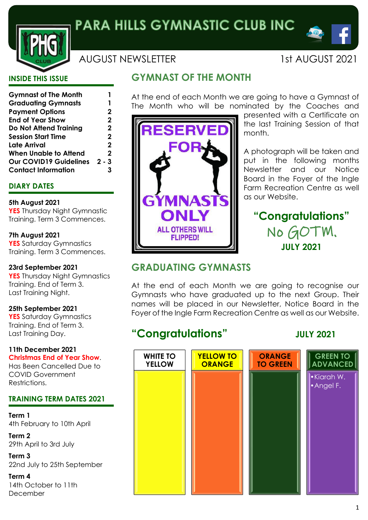

# AUGUST NEWSLETTER 1st AUGUST 2021

 $\bullet$   $\circ$ 

### **INSIDE THIS ISSUE**

| <b>Gymnast of The Month</b>   |             |
|-------------------------------|-------------|
| <b>Graduating Gymnasts</b>    | 1           |
| <b>Payment Options</b>        | 2           |
| <b>End of Year Show</b>       | 2           |
| <b>Do Not Attend Training</b> | 2           |
| <b>Session Start Time</b>     | $\mathbf 2$ |
| <b>Late Arrival</b>           | 2           |
| <b>When Unable to Attend</b>  | 2           |
| <b>Our COVID19 Guidelines</b> | $2 - 3$     |
| <b>Contact Information</b>    |             |

### **DIARY DATES**

#### **5th August 2021**

**YES** Thursday Night Gymnastic Training. Term 3 Commences.

#### **7th August 2021**

**YES** Saturday Gymnastics Training. Term 3 Commences.

#### **23rd September 2021**

**YES** Thursday Night Gymnastics Training. End of Term 3. Last Training Night.

#### **25th September 2021**

**YES** Saturday Gymnastics Training. End of Term 3. Last Training Day.

#### **11th December 2021 Christmas End of Year Show**.

Has Been Cancelled Due to COVID Government Restrictions.

### **TRAINING TERM DATES 2021**

**Term 1** 4th February to 10th April

**Term 2** 29th April to 3rd July

**Term 3** 22nd July to 25th September

**Term 4** 14th October to 11th December

# **GYMNAST OF THE MONTH**

**RESERVED** 

**GYMNASTS** 

**ONI Y** 

**ALL OTHERS WILL FLIPPED!** 

At the end of each Month we are going to have a Gymnast of The Month who will be nominated by the Coaches and



A photograph will be taken and put in the following months Newsletter and our Notice Board in the Foyer of the Ingle Farm Recreation Centre as well as our Website.

# **"Congratulations"** No GOTM. **JULY 2021**

# **GRADUATING GYMNASTS**

At the end of each Month we are going to recognise our Gymnasts who have graduated up to the next Group. Their names will be placed in our Newsletter, Notice Board in the Foyer of the Ingle Farm Recreation Centre as well as our Website.

# **WHITE TO YELLOW YELLOW TO ORANGE ORANGE TO GREEN GREEN TO ADVANCED** •Kiarah W. •Angel F.

# **"Congratulations" JULY 2021**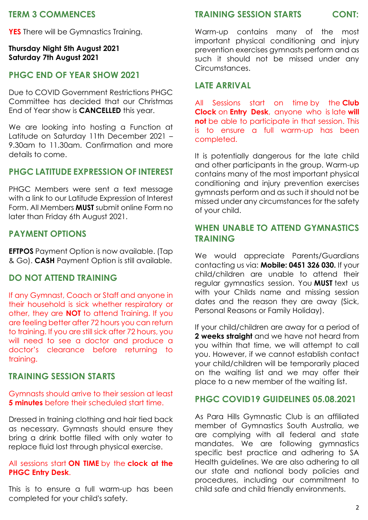# **TERM 3 COMMENCES**

**YES** There will be Gymnastics Training.

#### **Thursday Night 5th August 2021 Saturday 7th August 2021**

# **PHGC END OF YEAR SHOW 2021**

Due to COVID Government Restrictions PHGC Committee has decided that our Christmas End of Year show is **CANCELLED** this year.

We are looking into hosting a Function at Latitude on Saturday 11th December 2021 – 9.30am to 11.30am. Confirmation and more details to come.

# **PHGC LATITUDE EXPRESSION OF INTEREST**

PHGC Members were sent a text message with a link to our Latitude Expression of Interest Form. All Members **MUST** submit online Form no later than Friday 6th August 2021.

# **PAYMENT OPTIONS**

**EFTPOS** Payment Option is now available. (Tap & Go). **CASH** Payment Option is still available.

# **DO NOT ATTEND TRAINING**

If any Gymnast, Coach or Staff and anyone in their household is sick whether respiratory or other, they are **NOT** to attend Training. If you are feeling better after 72 hours you can return to training. If you are still sick after 72 hours, you will need to see a doctor and produce a doctor's clearance before returning to training.

# **TRAINING SESSION STARTS**

### Gymnasts should arrive to their session at least **5 minutes** before their scheduled start time.

Dressed in training clothing and hair tied back as necessary. Gymnasts should ensure they bring a drink bottle filled with only water to replace fluid lost through physical exercise.

### All sessions start **ON TIME** by the **clock at the PHGC Entry Desk**.

This is to ensure a full warm-up has been completed for your child's safety.

#### **TRAINING SESSION STARTS CONT:**

Warm-up contains many of the most important physical conditioning and injury prevention exercises gymnasts perform and as such it should not be missed under any Circumstances.

# **LATE ARRIVAL**

All Sessions start on time by the **Club Clock** on **Entry Desk**, anyone who is late **will not** be able to participate in that session. This is to ensure a full warm-up has been completed.

It is potentially dangerous for the late child and other participants in the group. Warm-up contains many of the most important physical conditioning and injury prevention exercises gymnasts perform and as such it should not be missed under any circumstances for the safety of your child.

# **WHEN UNABLE TO ATTEND GYMNASTICS TRAINING**

We would appreciate Parents/Guardians contacting us via: **Mobile: 0451 326 030.** If your child/children are unable to attend their regular gymnastics session. You **MUST** text us with your Childs name and missing session dates and the reason they are away (Sick, Personal Reasons or Family Holiday).

If your child/children are away for a period of **2 weeks straight** and we have not heard from you within that time, we will attempt to call you. However, if we cannot establish contact your child/children will be temporarily placed on the waiting list and we may offer their place to a new member of the waiting list.

### **PHGC COVID19 GUIDELINES 05.08.2021**

As Para Hills Gymnastic Club is an affiliated member of Gymnastics South Australia, we are complying with all federal and state mandates. We are following gymnastics specific best practice and adhering to SA Health guidelines. We are also adhering to all our state and national body policies and procedures, including our commitment to child safe and child friendly environments.